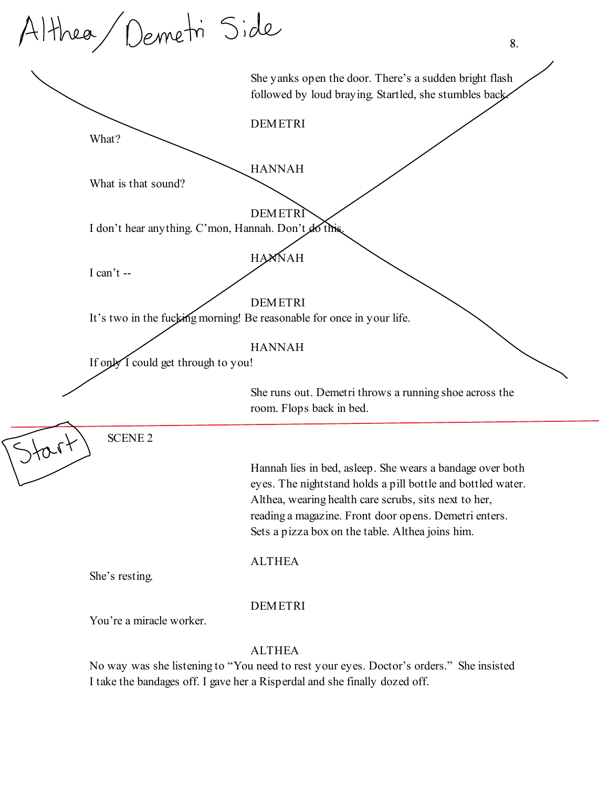|      | Althea Demetri Side                                  | 8.                                                                                                                                                                                                                                                                                             |
|------|------------------------------------------------------|------------------------------------------------------------------------------------------------------------------------------------------------------------------------------------------------------------------------------------------------------------------------------------------------|
|      |                                                      | She yanks open the door. There's a sudden bright flash<br>followed by loud braying. Startled, she stumbles back                                                                                                                                                                                |
|      | What?                                                | <b>DEMETRI</b>                                                                                                                                                                                                                                                                                 |
|      | What is that sound?                                  | <b>HANNAH</b>                                                                                                                                                                                                                                                                                  |
|      | I don't hear anything. C'mon, Hannah. Don't do this. | <b>DEMETR</b>                                                                                                                                                                                                                                                                                  |
|      | I can't --                                           | <b>HAMNAH</b>                                                                                                                                                                                                                                                                                  |
|      |                                                      | <b>DEMETRI</b><br>It's two in the fucking morning! Be reasonable for once in your life.                                                                                                                                                                                                        |
|      | If only I could get through to you!                  | <b>HANNAH</b>                                                                                                                                                                                                                                                                                  |
|      |                                                      | She runs out. Demetri throws a running shoe across the<br>room. Flops back in bed.                                                                                                                                                                                                             |
| 2101 | <b>SCENE 2</b>                                       |                                                                                                                                                                                                                                                                                                |
|      |                                                      | Hannah lies in bed, asleep. She wears a bandage over both<br>eyes. The nightstand holds a pill bottle and bottled water.<br>Althea, wearing health care scrubs, sits next to her,<br>reading a magazine. Front door opens. Demetri enters.<br>Sets a pizza box on the table. Althea joins him. |
|      | She's resting.                                       | <b>ALTHEA</b>                                                                                                                                                                                                                                                                                  |
|      | You're a miracle worker.                             | <b>DEMETRI</b>                                                                                                                                                                                                                                                                                 |
|      |                                                      | <b>ALTHEA</b>                                                                                                                                                                                                                                                                                  |

No way was she listening to "You need to rest your eyes. Doctor's orders." She insisted I take the bandages off. I gave her a Risperdal and she finally dozed off.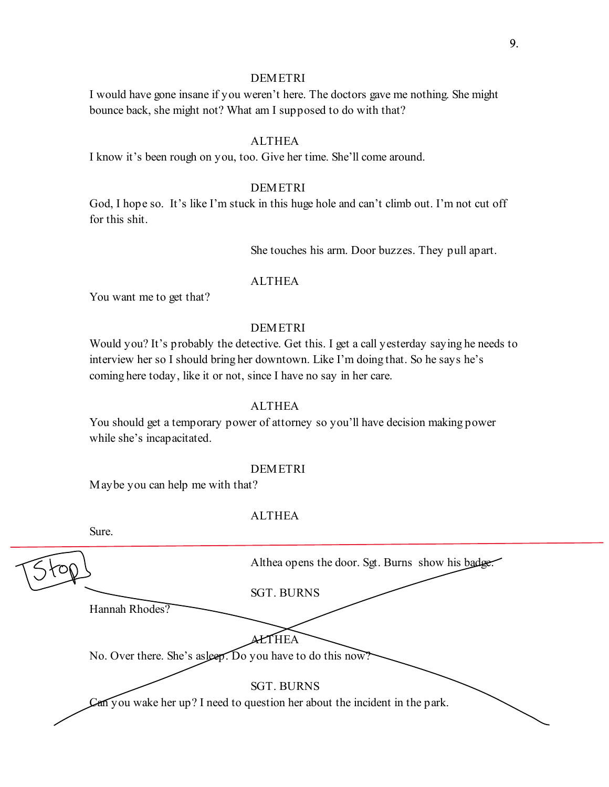# **DEMETRI**

I would have gone insane if you weren't here. The doctors gave me nothing. She might bounce back, she might not? What am I supposed to do with that?

# ALTHEA

I know it's been rough on you, too. Give her time. She'll come around.

# DEMETRI

God, I hope so. It's like I'm stuck in this huge hole and can't climb out. I'm not cut off for this shit.

She touches his arm. Door buzzes. They pull apart.

### ALTHEA

You want me to get that?

# DEMETRI

Would you? It's probably the detective. Get this. I get a call yesterday saying he needs to interview her so I should bring her downtown. Like I'm doing that. So he says he's coming here today, like it or not, since I have no say in her care.

# **ALTHEA**

You should get a temporary power of attorney so you'll have decision making power while she's incapacitated.

#### DEMETRI

Maybe you can help me with that?

Sure.

# ALTHEA

|                                                           | Althea opens the door. Sgt. Burns show his badge                            |
|-----------------------------------------------------------|-----------------------------------------------------------------------------|
|                                                           | <b>SGT. BURNS</b>                                                           |
| Hannah Rhodes?                                            |                                                                             |
| No. Over there. She's asleep. Do you have to do this now? | `HEA                                                                        |
|                                                           | <b>SGT. BURNS</b>                                                           |
|                                                           | Can you wake her up? I need to question her about the incident in the park. |
|                                                           |                                                                             |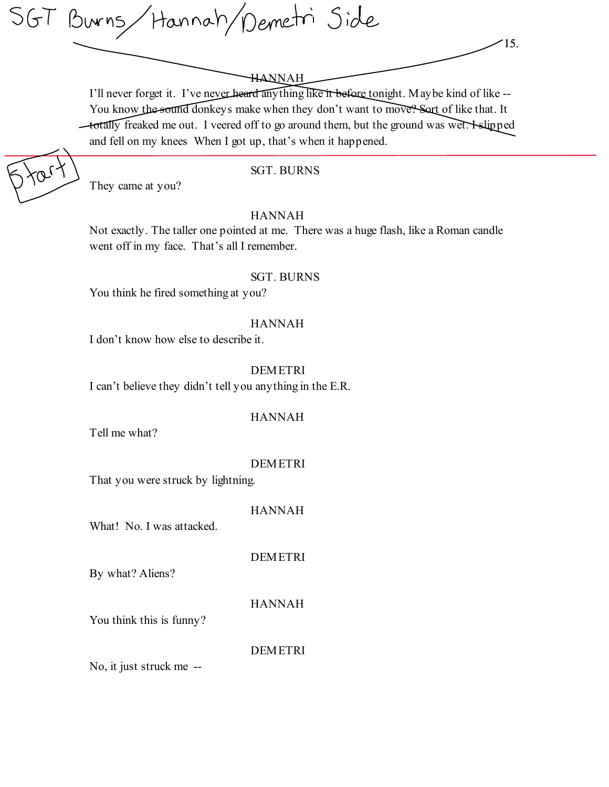SGT Burns/Hannah/Demetri Side

I'll never forget it. I've never heard anything like it before tonight. Maybe kind of like -- You know the sound donkeys make when they don't want to move? Sort of like that. It totally freaked me out. I veered off to go around them, but the ground was wet. I slipped and fell on my knees When I got up, that's when it happened.

15.

SGT. BURNS

# HANNAH

Not exactly. The taller one pointed at me. There was a huge flash, like a Roman candle went off in my face. That's all I remember.

# SGT. BURNS

You think he fired something at you?

# HANNAH

I don't know how else to describe it.

# **DEMETRI**

I can't believe they didn't tell you anything in the E.R.

# HANNAH

Tell me what?

They came at you?

# DEMETRI

That you were struck by lightning.

HANNAH

What! No. I was attacked.

DEMETRI

By what? Aliens?

HANNAH

You think this is funny?

**DEMETRI** 

No, it just struck me --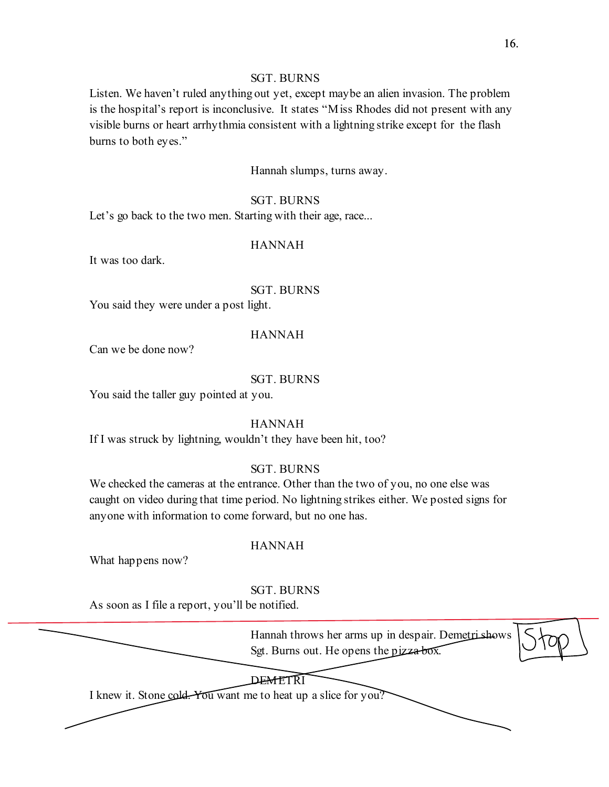# SGT. BURNS

Listen. We haven't ruled anything out yet, except maybe an alien invasion. The problem is the hospital's report is inconclusive. It states "Miss Rhodes did not present with any visible burns or heart arrhythmia consistent with a lightning strike except for the flash burns to both eyes."

Hannah slumps, turns away.

#### SGT. BURNS

Let's go back to the two men. Starting with their age, race...

# HANNAH

It was too dark.

## SGT. BURNS

You said they were under a post light.

### HANNAH

Can we be done now?

### SGT. BURNS

You said the taller guy pointed at you.

#### HANNAH

If I was struck by lightning, wouldn't they have been hit, too?

# SGT. BURNS

We checked the cameras at the entrance. Other than the two of you, no one else was caught on video during that time period. No lightning strikes either. We posted signs for anyone with information to come forward, but no one has.

# HANNAH

What happens now?

# SGT. BURNS

As soon as I file a report, you'll be notified.

Hannah throws her arms up in despair. Demetri shows Sgt. Burns out. He opens the pizza box.

# **DEMETRI**

I knew it. Stone cold. You want me to heat up a slice for you?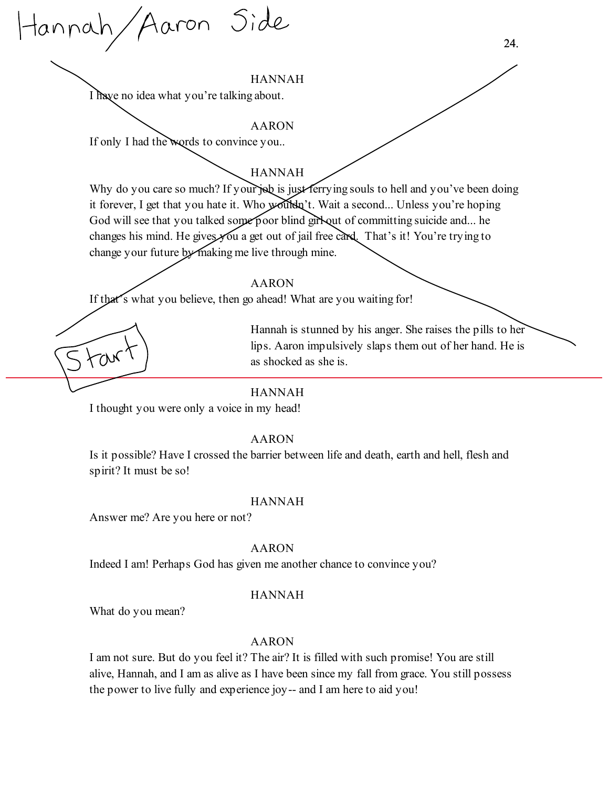Hannah/Aaron Side

I have no idea what you're talking about.

#### AARON

If only I had the words to convince you..

# HANNAH

Why do you care so much? If your job is just ferrying souls to hell and you've been doing it forever, I get that you hate it. Who wouldn't. Wait a second... Unless you're hoping God will see that you talked some poor blind girl out of committing suicide and... he changes his mind. He gives you a get out of jail free card. That's it! You're trying to change your future by making me live through mine.

#### AARON

If that's what you believe, then go ahead! What are you waiting for!

Hannah is stunned by his anger. She raises the pills to her lips. Aaron impulsively slaps them out of her hand. He is as shocked as she is.

# HANNAH

I thought you were only a voice in my head!

# AARON

Is it possible? Have I crossed the barrier between life and death, earth and hell, flesh and spirit? It must be so!

#### HANNAH

Answer me? Are you here or not?

#### AARON

Indeed I am! Perhaps God has given me another chance to convince you?

# HANNAH

What do you mean?

# AARON

I am not sure. But do you feel it? The air? It is filled with such promise! You are still alive, Hannah, and I am as alive as I have been since my fall from grace. You still possess the power to live fully and experience joy-- and I am here to aid you!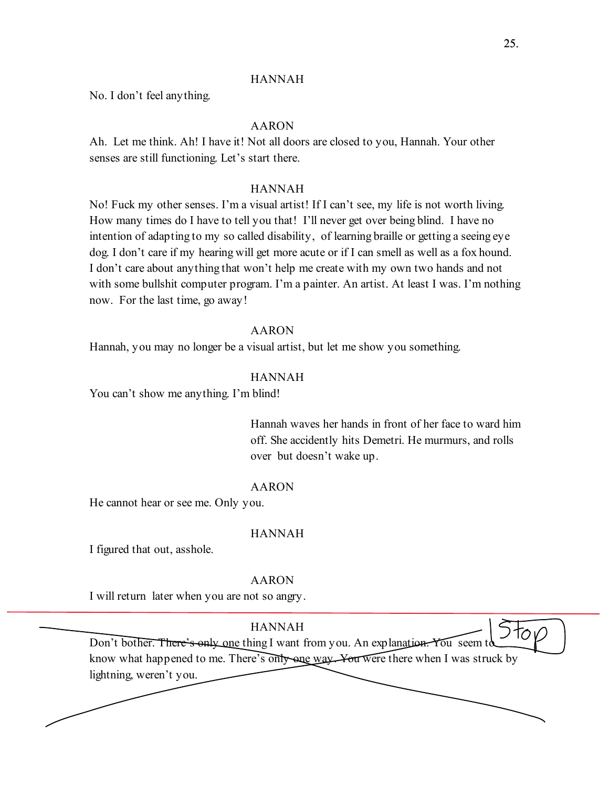No. I don't feel anything.

# AARON

Ah. Let me think. Ah! I have it! Not all doors are closed to you, Hannah. Your other senses are still functioning. Let's start there.

#### HANNAH

No! Fuck my other senses. I'm a visual artist! If I can't see, my life is not worth living. How many times do I have to tell you that! I'll never get over being blind. I have no intention of adapting to my so called disability, of learning braille or getting a seeing eye dog. I don't care if my hearing will get more acute or if I can smell as well as a fox hound. I don't care about anything that won't help me create with my own two hands and not with some bullshit computer program. I'm a painter. An artist. At least I was. I'm nothing now. For the last time, go away!

#### AARON

Hannah, you may no longer be a visual artist, but let me show you something.

# HANNAH

You can't show me anything. I'm blind!

Hannah waves her hands in front of her face to ward him off. She accidently hits Demetri. He murmurs, and rolls over but doesn't wake up.

#### AARON

He cannot hear or see me. Only you.

#### HANNAH

I figured that out, asshole.

#### AARON

I will return later when you are not so angry.

HANNAH Don't bother. There's only one thing I want from you. An explanation. You seem to know what happened to me. There's only one way. You were there when I was struck by lightning, weren't you.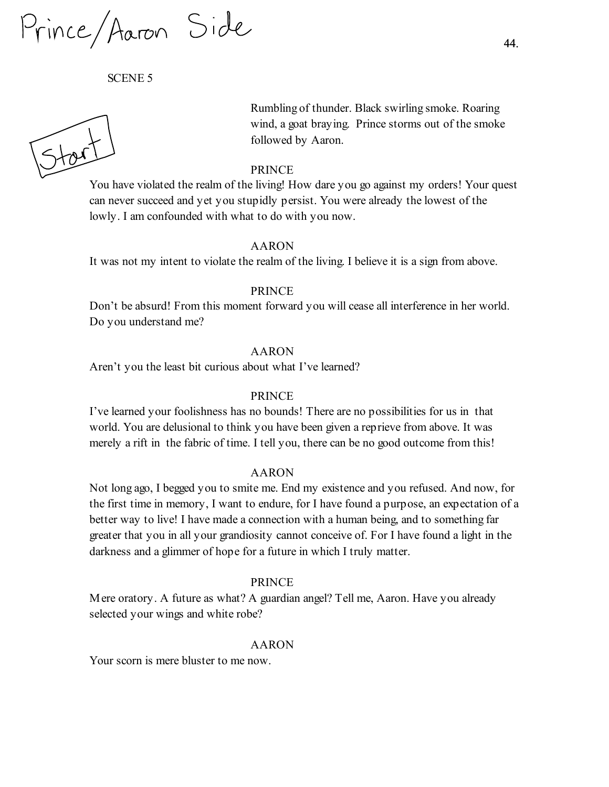Prince/Aaron Side

SCENE 5

Rumbling of thunder. Black swirling smoke. Roaring wind, a goat braying. Prince storms out of the smoke followed by Aaron.

#### PRINCE

You have violated the realm of the living! How dare you go against my orders! Your quest can never succeed and yet you stupidly persist. You were already the lowest of the lowly. I am confounded with what to do with you now.

#### AARON

It was not my intent to violate the realm of the living. I believe it is a sign from above.

#### PRINCE

Don't be absurd! From this moment forward you will cease all interference in her world. Do you understand me?

#### AARON

Aren't you the least bit curious about what I've learned?

#### PRINCE

I've learned your foolishness has no bounds! There are no possibilities for us in that world. You are delusional to think you have been given a reprieve from above. It was merely a rift in the fabric of time. I tell you, there can be no good outcome from this!

#### AARON

Not long ago, I begged you to smite me. End my existence and you refused. And now, for the first time in memory, I want to endure, for I have found a purpose, an expectation of a better way to live! I have made a connection with a human being, and to something far greater that you in all your grandiosity cannot conceive of. For I have found a light in the darkness and a glimmer of hope for a future in which I truly matter.

#### PRINCE

Mere oratory. A future as what? A guardian angel? Tell me, Aaron. Have you already selected your wings and white robe?

#### AARON

Your scorn is mere bluster to me now.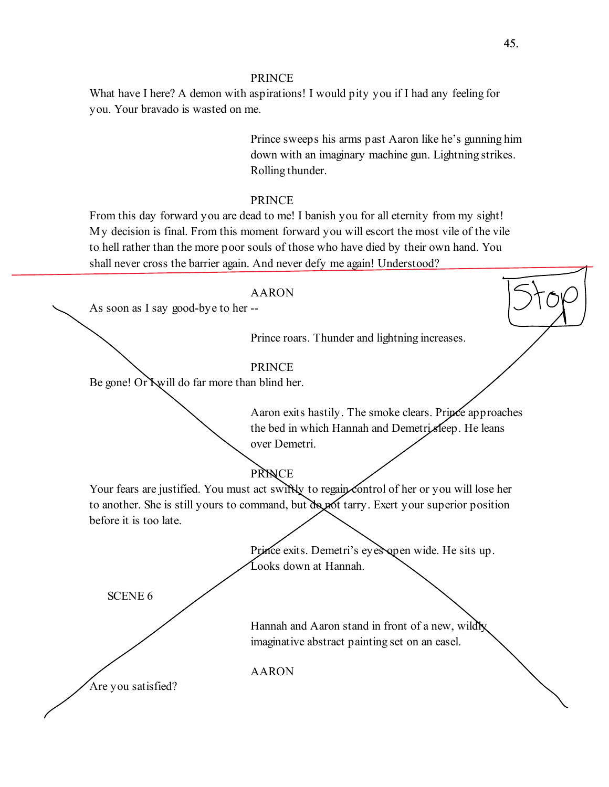## PRINCE

What have I here? A demon with aspirations! I would pity you if I had any feeling for you. Your bravado is wasted on me.

> Prince sweeps his arms past Aaron like he's gunning him down with an imaginary machine gun. Lightning strikes. Rolling thunder.

# PRINCE

From this day forward you are dead to me! I banish you for all eternity from my sight! My decision is final. From this moment forward you will escort the most vile of the vile to hell rather than the more poor souls of those who have died by their own hand. You shall never cross the barrier again. And never defy me again! Understood?

#### AARON

As soon as I say good-bye to her --

Prince roars. Thunder and lightning increases.

# PRINCE

Be gone! Or Nwill do far more than blind her.

Aaron exits hastily. The smoke clears. Prince approaches the bed in which Hannah and Demetri sleep. He leans over Demetri.

# PRINCE

Your fears are justified. You must act swiftly to regain control of her or you will lose her to another. She is still yours to command, but do not tarry. Exert your superior position before it is too late.

> Prince exits. Demetri's eyes open wide. He sits up. Looks down at Hannah.

Hannah and Aaron stand in front of a new, wildly imaginative abstract painting set on an easel.

AARON

Are you satisfied?

SCENE 6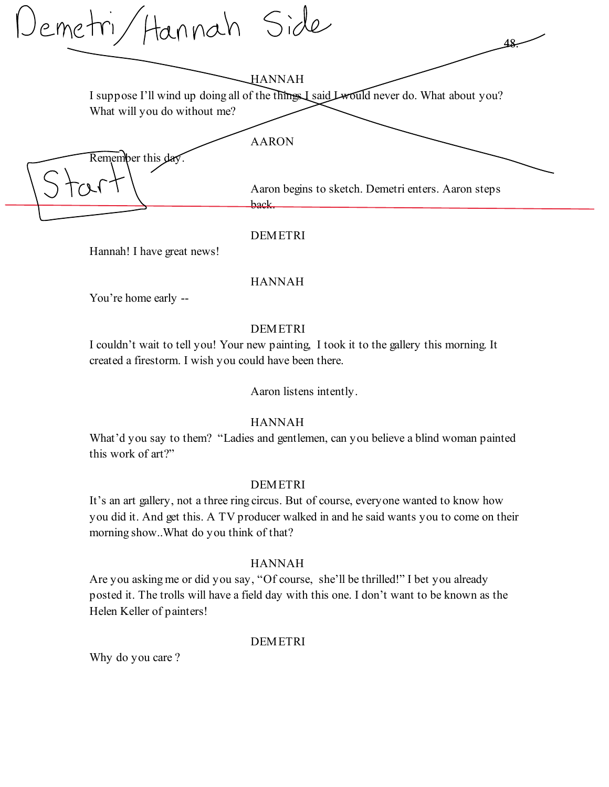Demetri/Hannah Side 48. HANNAH I suppose I'll wind up doing all of the things I said Lwould never do. What about you? What will you do without me? AARON Remember this day. Aaron begins to sketch. Demetri enters. Aaron steps back.

DEMETRI

Hannah! I have great news!

# HANNAH

You're home early --

# DEMETRI

I couldn't wait to tell you! Your new painting, I took it to the gallery this morning. It created a firestorm. I wish you could have been there.

Aaron listens intently.

# HANNAH

What'd you say to them? "Ladies and gentlemen, can you believe a blind woman painted this work of art?"

# DEMETRI

It's an art gallery, not a three ring circus. But of course, everyone wanted to know how you did it. And get this. A TV producer walked in and he said wants you to come on their morning show..What do you think of that?

# HANNAH

Are you asking me or did you say, "Of course, she'll be thrilled!" I bet you already posted it. The trolls will have a field day with this one. I don't want to be known as the Helen Keller of painters!

# **DEMETRI**

Why do you care ?